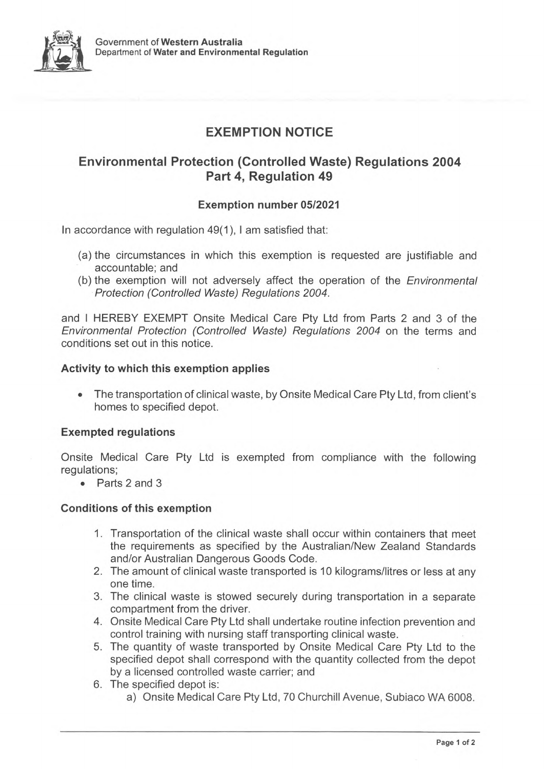

## **EXEMPTION NOTICE**

## **Environmental Protection (Controlled Waste) Regulations 2004 Part 4, Regulation 49**

### **Exemption number 05/2021**

In accordance with regulation 49(1), <sup>I</sup> am satisfied that:

- (a) the circumstances in which this exemption is requested are justifiable and accountable; and
- (b) the exemption will not adversely affect the operation of the *Environmental Protection (Controlled Waste) Regulations 2004.*

and <sup>I</sup> HEREBY EXEMPT Onsite Medical Care Pty Ltd from Parts 2 and 3 of the *Environmental Protection (Controlled Waste) Regulations 2004* on the terms and conditions set out in this notice.

#### **Activity to which this exemption applies**

• The transportation of clinical waste, by Onsite Medical Care Pty Ltd, from client's homes to specified depot.

#### **Exempted regulations**

Onsite Medical Care Pty Ltd is exempted from compliance with the following regulations;

• Parts 2 and 3

#### **Conditions of this exemption**

- 1. Transportation of the clinical waste shall occur within containers that meet the requirements as specified by the Australian/New Zealand Standards and/or Australian Dangerous Goods Code.
- 2. The amount of clinical waste transported is 10 kilograms/litres or less at any one time.
- 3. The clinical waste is stowed securely during transportation in a separate compartment from the driver.
- 4. Onsite Medical Care Pty Ltd shall undertake routine infection prevention and control training with nursing staff transporting clinical waste.
- 5. The quantity of waste transported by Onsite Medical Care Pty Ltd to the specified depot shall correspond with the quantity collected from the depot by a licensed controlled waste carrier; and
- 6. The specified depot is:
	- a) Onsite Medical Care Pty Ltd, 70 Churchill Avenue, Subiaco WA 6008.